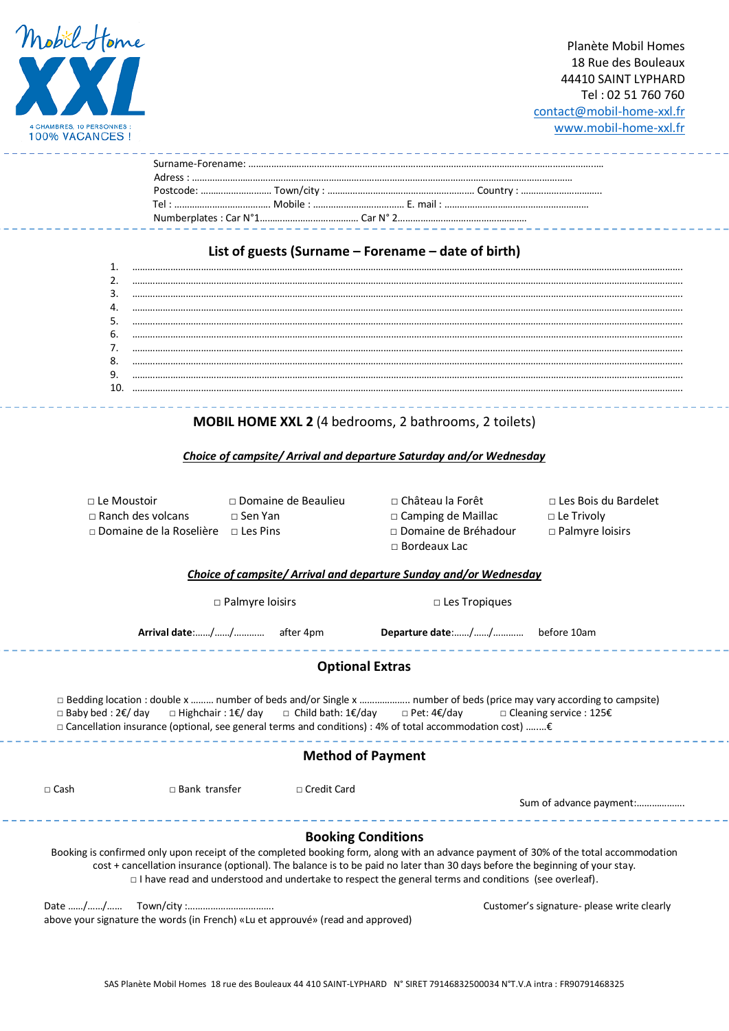

Planète Mobil Homes 18 Rue des Bouleaux 44410 SAINT LYPHARD Tel : 02 51 760 760 [contact@mobil-home-xxl.fr](mailto:contact@mobil-home-xxl.fr) [www.mobil-home-xxl.fr](http://www.mobil-home-xxl.fr/)

# **List of guests (Surname – Forename – date of birth)**

# **MOBIL HOME XXL 2** (4 bedrooms, 2 bathrooms, 2 toilets)

# *Choice of campsite/ Arrival and departure Saturday and/or Wednesday*

| $\sqcap$ Le Moustoir           | $\Box$ Domaine de Beaulieu | ∩ Château la Forêt        | □ Les Bois du Bardelet |
|--------------------------------|----------------------------|---------------------------|------------------------|
| $\Box$ Ranch des volcans       | ∩ Sen Yan                  | $\Box$ Camping de Maillac | $\Box$ Le Trivoly      |
| $\Box$ Domaine de la Roselière | $\Box$ Les Pins            | □ Domaine de Bréhadour    | $\Box$ Palmyre loisirs |
|                                |                            | $\Box$ Bordeaux Lac.      |                        |

## *Choice of campsite/ Arrival and departure Sunday and/or Wednesday*

. 2 2 2 2 2 2 2 2 2 2 2 .

□ Palmyre loisirs □ □ Les Tropiques

**Arrival date**:……/……/………… after 4pm **Departure date**:……/……/………… before 10am

**Optional Extras**

 □ Bedding location : double x ……… number of beds and/or Single x ……………….. number of beds (price may vary according to campsite) □ Baby bed : 2€/ day □ Highchair : 1€/ day □ Child bath: 1€/day □ Pet: 4€/day □ Cleaning service : 125€ □ Cancellation insurance (optional, see general terms and conditions) : 4% of total accommodation cost) …..…€

# **Method of Payment**

. Lietus Lietus Lietus

□ Cash □ Bank transfer □ Credit Card Sum of advance payment:………………. **Booking Conditions**

Booking is confirmed only upon receipt of the completed booking form, along with an advance payment of 30% of the total accommodation cost + cancellation insurance (optional). The balance is to be paid no later than 30 days before the beginning of your stay. □ I have read and understood and undertake to respect the general terms and conditions (see overleaf).

Date ……/……/…… Town/city :……………………………. Customer's signature- please write clearly above your signature the words (in French) «Lu et approuvé» (read and approved)